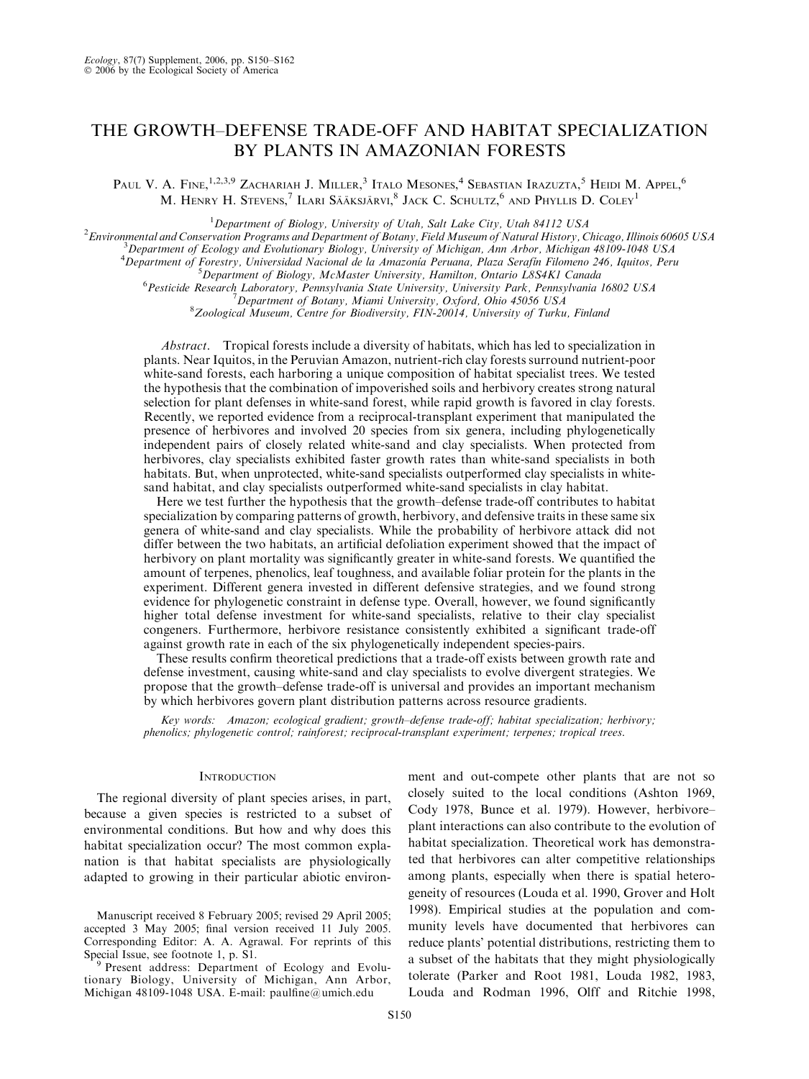# THE GROWTH–DEFENSE TRADE-OFF AND HABITAT SPECIALIZATION BY PLANTS IN AMAZONIAN FORESTS

Paul V. A. Fine,<sup>1,2,3,9</sup> Zachariah J. Miller,<sup>3</sup> Italo Mesones,<sup>4</sup> Sebastian Irazuzta,<sup>5</sup> Heidi M. Appel,<sup>6</sup> M. Henry H. Stevens,<sup>7</sup> Ilari Sääksjärvi,<sup>8</sup> Jack C. Schultz,<sup>6</sup> and Phyllis D. Coley<sup>1</sup>

<sup>1</sup> Department of Biology, University of Utah, Salt Lake City, Utah 84112 USA<br><sup>2</sup> Environmental and Conservation Programs and Department of Botany, Field Museum of Natural History, C

 $^2$ Environmental and Conservation Programs and Department of Botany, Field Museum of Natural History, Chicago, Illinois 60605 USA

 ${}^{3}$ Department of Ecology and Evolutionary Biology, University of Michigan, Ann Arbor, Michigan 48109-1048 USA

<sup>4</sup> Department of Forestry, Universidad Nacional de la Amazonia Peruana, Plaza Serafín Filomeno 246, Iquitos, Peru<br>5 Department of Pielegy, MeMaster University, Hamilton Ontario ISSAKI Canada

 ${}^{5}$ Department of Biology, McMaster University, Hamilton, Ontario L8S4K1 Canada Pesticide Research Laboratory, Pennsylvania State University, University Park, Pennsylvania 16802 USA <sup>7</sup>

<sup>7</sup> Department of Botany, Miami University, Oxford, Ohio 45056 USA

 ${}^8Z$ oological Museum, Centre for Biodiversity, FIN-20014, University of Turku, Finland

Abstract. Tropical forests include a diversity of habitats, which has led to specialization in plants. Near Iquitos, in the Peruvian Amazon, nutrient-rich clay forests surround nutrient-poor white-sand forests, each harboring a unique composition of habitat specialist trees. We tested the hypothesis that the combination of impoverished soils and herbivory creates strong natural selection for plant defenses in white-sand forest, while rapid growth is favored in clay forests. Recently, we reported evidence from a reciprocal-transplant experiment that manipulated the presence of herbivores and involved 20 species from six genera, including phylogenetically independent pairs of closely related white-sand and clay specialists. When protected from herbivores, clay specialists exhibited faster growth rates than white-sand specialists in both habitats. But, when unprotected, white-sand specialists outperformed clay specialists in whitesand habitat, and clay specialists outperformed white-sand specialists in clay habitat.

Here we test further the hypothesis that the growth–defense trade-off contributes to habitat specialization by comparing patterns of growth, herbivory, and defensive traits in these same six genera of white-sand and clay specialists. While the probability of herbivore attack did not differ between the two habitats, an artificial defoliation experiment showed that the impact of herbivory on plant mortality was significantly greater in white-sand forests. We quantified the amount of terpenes, phenolics, leaf toughness, and available foliar protein for the plants in the experiment. Different genera invested in different defensive strategies, and we found strong evidence for phylogenetic constraint in defense type. Overall, however, we found significantly higher total defense investment for white-sand specialists, relative to their clay specialist congeners. Furthermore, herbivore resistance consistently exhibited a significant trade-off against growth rate in each of the six phylogenetically independent species-pairs.

These results confirm theoretical predictions that a trade-off exists between growth rate and defense investment, causing white-sand and clay specialists to evolve divergent strategies. We propose that the growth–defense trade-off is universal and provides an important mechanism by which herbivores govern plant distribution patterns across resource gradients.

Key words: Amazon; ecological gradient; growth–defense trade-off; habitat specialization; herbivory; phenolics; phylogenetic control; rainforest; reciprocal-transplant experiment; terpenes; tropical trees.

#### **INTRODUCTION**

The regional diversity of plant species arises, in part, because a given species is restricted to a subset of environmental conditions. But how and why does this habitat specialization occur? The most common explanation is that habitat specialists are physiologically adapted to growing in their particular abiotic environment and out-compete other plants that are not so closely suited to the local conditions (Ashton 1969, Cody 1978, Bunce et al. 1979). However, herbivore– plant interactions can also contribute to the evolution of habitat specialization. Theoretical work has demonstrated that herbivores can alter competitive relationships among plants, especially when there is spatial heterogeneity of resources (Louda et al. 1990, Grover and Holt 1998). Empirical studies at the population and community levels have documented that herbivores can reduce plants' potential distributions, restricting them to a subset of the habitats that they might physiologically tolerate (Parker and Root 1981, Louda 1982, 1983, Louda and Rodman 1996, Olff and Ritchie 1998,

Manuscript received 8 February 2005; revised 29 April 2005; accepted 3 May 2005; final version received 11 July 2005. Corresponding Editor: A. A. Agrawal. For reprints of this

<sup>&</sup>lt;sup>9</sup> Present address: Department of Ecology and Evolutionary Biology, University of Michigan, Ann Arbor, Michigan 48109-1048 USA. E-mail: paulfine@umich.edu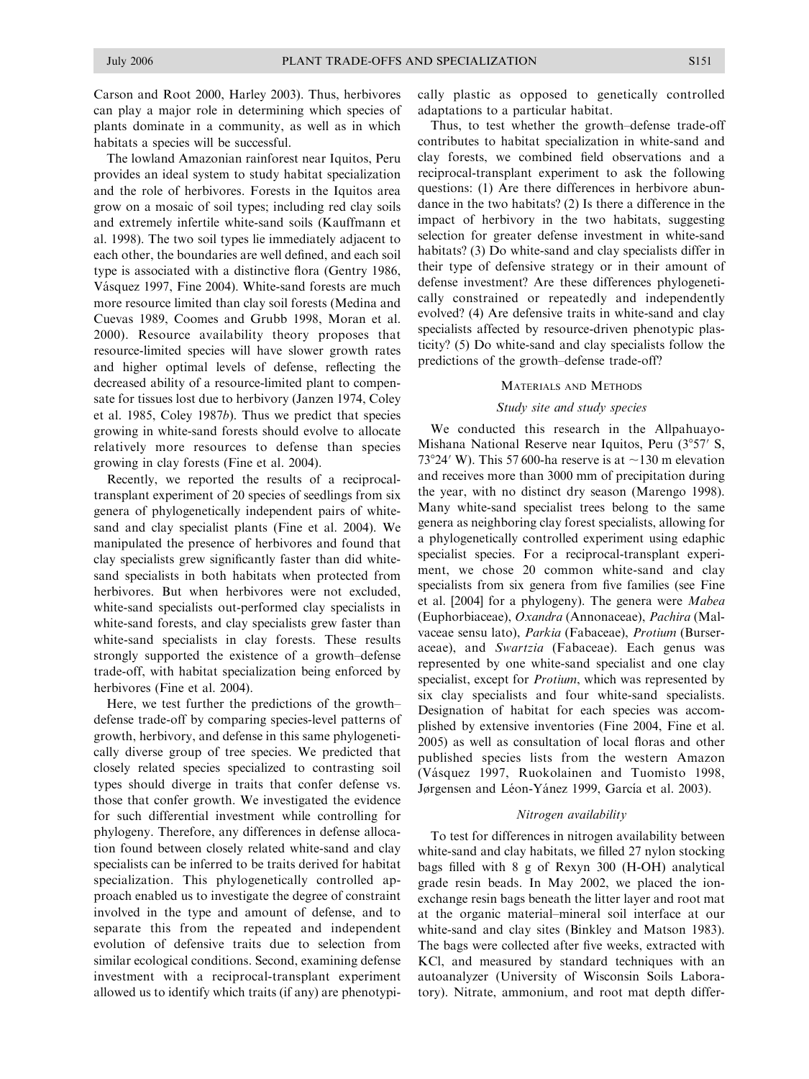Carson and Root 2000, Harley 2003). Thus, herbivores can play a major role in determining which species of plants dominate in a community, as well as in which habitats a species will be successful.

The lowland Amazonian rainforest near Iquitos, Peru provides an ideal system to study habitat specialization and the role of herbivores. Forests in the Iquitos area grow on a mosaic of soil types; including red clay soils and extremely infertile white-sand soils (Kauffmann et al. 1998). The two soil types lie immediately adjacent to each other, the boundaries are well defined, and each soil type is associated with a distinctive flora (Gentry 1986, Vásquez 1997, Fine 2004). White-sand forests are much more resource limited than clay soil forests (Medina and Cuevas 1989, Coomes and Grubb 1998, Moran et al. 2000). Resource availability theory proposes that resource-limited species will have slower growth rates and higher optimal levels of defense, reflecting the decreased ability of a resource-limited plant to compensate for tissues lost due to herbivory (Janzen 1974, Coley et al. 1985, Coley 1987b). Thus we predict that species growing in white-sand forests should evolve to allocate relatively more resources to defense than species growing in clay forests (Fine et al. 2004).

Recently, we reported the results of a reciprocaltransplant experiment of 20 species of seedlings from six genera of phylogenetically independent pairs of whitesand and clay specialist plants (Fine et al. 2004). We manipulated the presence of herbivores and found that clay specialists grew significantly faster than did whitesand specialists in both habitats when protected from herbivores. But when herbivores were not excluded, white-sand specialists out-performed clay specialists in white-sand forests, and clay specialists grew faster than white-sand specialists in clay forests. These results strongly supported the existence of a growth–defense trade-off, with habitat specialization being enforced by herbivores (Fine et al. 2004).

Here, we test further the predictions of the growth– defense trade-off by comparing species-level patterns of growth, herbivory, and defense in this same phylogenetically diverse group of tree species. We predicted that closely related species specialized to contrasting soil types should diverge in traits that confer defense vs. those that confer growth. We investigated the evidence for such differential investment while controlling for phylogeny. Therefore, any differences in defense allocation found between closely related white-sand and clay specialists can be inferred to be traits derived for habitat specialization. This phylogenetically controlled approach enabled us to investigate the degree of constraint involved in the type and amount of defense, and to separate this from the repeated and independent evolution of defensive traits due to selection from similar ecological conditions. Second, examining defense investment with a reciprocal-transplant experiment allowed us to identify which traits (if any) are phenotypically plastic as opposed to genetically controlled adaptations to a particular habitat.

Thus, to test whether the growth–defense trade-off contributes to habitat specialization in white-sand and clay forests, we combined field observations and a reciprocal-transplant experiment to ask the following questions: (1) Are there differences in herbivore abundance in the two habitats? (2) Is there a difference in the impact of herbivory in the two habitats, suggesting selection for greater defense investment in white-sand habitats? (3) Do white-sand and clay specialists differ in their type of defensive strategy or in their amount of defense investment? Are these differences phylogenetically constrained or repeatedly and independently evolved? (4) Are defensive traits in white-sand and clay specialists affected by resource-driven phenotypic plasticity? (5) Do white-sand and clay specialists follow the predictions of the growth–defense trade-off?

#### MATERIALS AND METHODS

### Study site and study species

We conducted this research in the Allpahuayo-Mishana National Reserve near Iquitos, Peru  $(3^{\circ}57'$  S, 73°24′ W). This 57 600-ha reserve is at  $\sim$ 130 m elevation and receives more than 3000 mm of precipitation during the year, with no distinct dry season (Marengo 1998). Many white-sand specialist trees belong to the same genera as neighboring clay forest specialists, allowing for a phylogenetically controlled experiment using edaphic specialist species. For a reciprocal-transplant experiment, we chose 20 common white-sand and clay specialists from six genera from five families (see Fine et al. [2004] for a phylogeny). The genera were Mabea (Euphorbiaceae), Oxandra (Annonaceae), Pachira (Malvaceae sensu lato), Parkia (Fabaceae), Protium (Burseraceae), and Swartzia (Fabaceae). Each genus was represented by one white-sand specialist and one clay specialist, except for Protium, which was represented by six clay specialists and four white-sand specialists. Designation of habitat for each species was accomplished by extensive inventories (Fine 2004, Fine et al. 2005) as well as consultation of local floras and other published species lists from the western Amazon (Vásquez 1997, Ruokolainen and Tuomisto 1998, Jørgensen and Léon-Yánez 1999, García et al. 2003).

#### Nitrogen availability

To test for differences in nitrogen availability between white-sand and clay habitats, we filled 27 nylon stocking bags filled with 8 g of Rexyn 300 (H-OH) analytical grade resin beads. In May 2002, we placed the ionexchange resin bags beneath the litter layer and root mat at the organic material–mineral soil interface at our white-sand and clay sites (Binkley and Matson 1983). The bags were collected after five weeks, extracted with KCl, and measured by standard techniques with an autoanalyzer (University of Wisconsin Soils Laboratory). Nitrate, ammonium, and root mat depth differ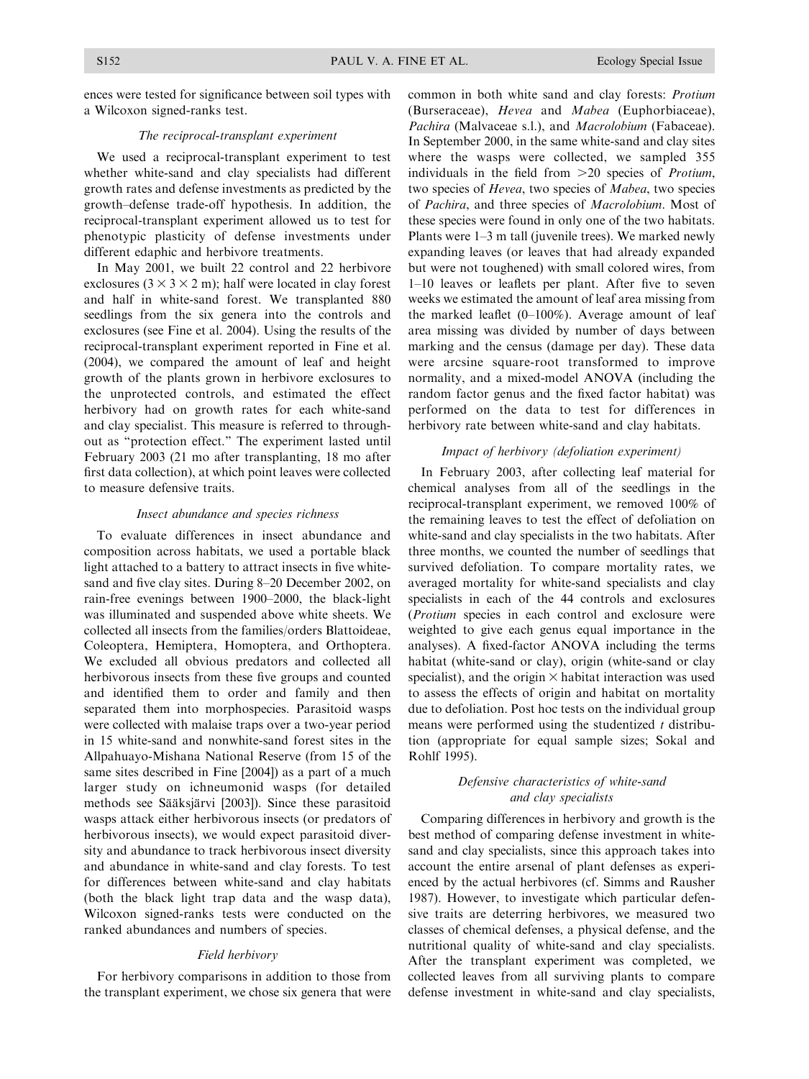ences were tested for significance between soil types with a Wilcoxon signed-ranks test.

### The reciprocal-transplant experiment

We used a reciprocal-transplant experiment to test whether white-sand and clay specialists had different growth rates and defense investments as predicted by the growth–defense trade-off hypothesis. In addition, the reciprocal-transplant experiment allowed us to test for phenotypic plasticity of defense investments under different edaphic and herbivore treatments.

In May 2001, we built 22 control and 22 herbivore exclosures  $(3 \times 3 \times 2 \text{ m})$ ; half were located in clay forest and half in white-sand forest. We transplanted 880 seedlings from the six genera into the controls and exclosures (see Fine et al. 2004). Using the results of the reciprocal-transplant experiment reported in Fine et al. (2004), we compared the amount of leaf and height growth of the plants grown in herbivore exclosures to the unprotected controls, and estimated the effect herbivory had on growth rates for each white-sand and clay specialist. This measure is referred to throughout as ''protection effect.'' The experiment lasted until February 2003 (21 mo after transplanting, 18 mo after first data collection), at which point leaves were collected to measure defensive traits.

#### Insect abundance and species richness

To evaluate differences in insect abundance and composition across habitats, we used a portable black light attached to a battery to attract insects in five whitesand and five clay sites. During 8–20 December 2002, on rain-free evenings between 1900–2000, the black-light was illuminated and suspended above white sheets. We collected all insects from the families/orders Blattoideae, Coleoptera, Hemiptera, Homoptera, and Orthoptera. We excluded all obvious predators and collected all herbivorous insects from these five groups and counted and identified them to order and family and then separated them into morphospecies. Parasitoid wasps were collected with malaise traps over a two-year period in 15 white-sand and nonwhite-sand forest sites in the Allpahuayo-Mishana National Reserve (from 15 of the same sites described in Fine [2004]) as a part of a much larger study on ichneumonid wasps (for detailed methods see Sääksjärvi [2003]). Since these parasitoid wasps attack either herbivorous insects (or predators of herbivorous insects), we would expect parasitoid diversity and abundance to track herbivorous insect diversity and abundance in white-sand and clay forests. To test for differences between white-sand and clay habitats (both the black light trap data and the wasp data), Wilcoxon signed-ranks tests were conducted on the ranked abundances and numbers of species.

### Field herbivory

For herbivory comparisons in addition to those from the transplant experiment, we chose six genera that were common in both white sand and clay forests: Protium (Burseraceae), Hevea and Mabea (Euphorbiaceae), Pachira (Malvaceae s.l.), and Macrolobium (Fabaceae). In September 2000, in the same white-sand and clay sites where the wasps were collected, we sampled 355 individuals in the field from  $>20$  species of *Protium*, two species of Hevea, two species of Mabea, two species of Pachira, and three species of Macrolobium. Most of these species were found in only one of the two habitats. Plants were 1–3 m tall (juvenile trees). We marked newly expanding leaves (or leaves that had already expanded but were not toughened) with small colored wires, from 1–10 leaves or leaflets per plant. After five to seven weeks we estimated the amount of leaf area missing from the marked leaflet (0–100%). Average amount of leaf area missing was divided by number of days between marking and the census (damage per day). These data were arcsine square-root transformed to improve normality, and a mixed-model ANOVA (including the random factor genus and the fixed factor habitat) was performed on the data to test for differences in herbivory rate between white-sand and clay habitats.

## Impact of herbivory (defoliation experiment)

In February 2003, after collecting leaf material for chemical analyses from all of the seedlings in the reciprocal-transplant experiment, we removed 100% of the remaining leaves to test the effect of defoliation on white-sand and clay specialists in the two habitats. After three months, we counted the number of seedlings that survived defoliation. To compare mortality rates, we averaged mortality for white-sand specialists and clay specialists in each of the 44 controls and exclosures (Protium species in each control and exclosure were weighted to give each genus equal importance in the analyses). A fixed-factor ANOVA including the terms habitat (white-sand or clay), origin (white-sand or clay specialist), and the origin  $\times$  habitat interaction was used to assess the effects of origin and habitat on mortality due to defoliation. Post hoc tests on the individual group means were performed using the studentized  $t$  distribution (appropriate for equal sample sizes; Sokal and Rohlf 1995).

## Defensive characteristics of white-sand and clay specialists

Comparing differences in herbivory and growth is the best method of comparing defense investment in whitesand and clay specialists, since this approach takes into account the entire arsenal of plant defenses as experienced by the actual herbivores (cf. Simms and Rausher 1987). However, to investigate which particular defensive traits are deterring herbivores, we measured two classes of chemical defenses, a physical defense, and the nutritional quality of white-sand and clay specialists. After the transplant experiment was completed, we collected leaves from all surviving plants to compare defense investment in white-sand and clay specialists,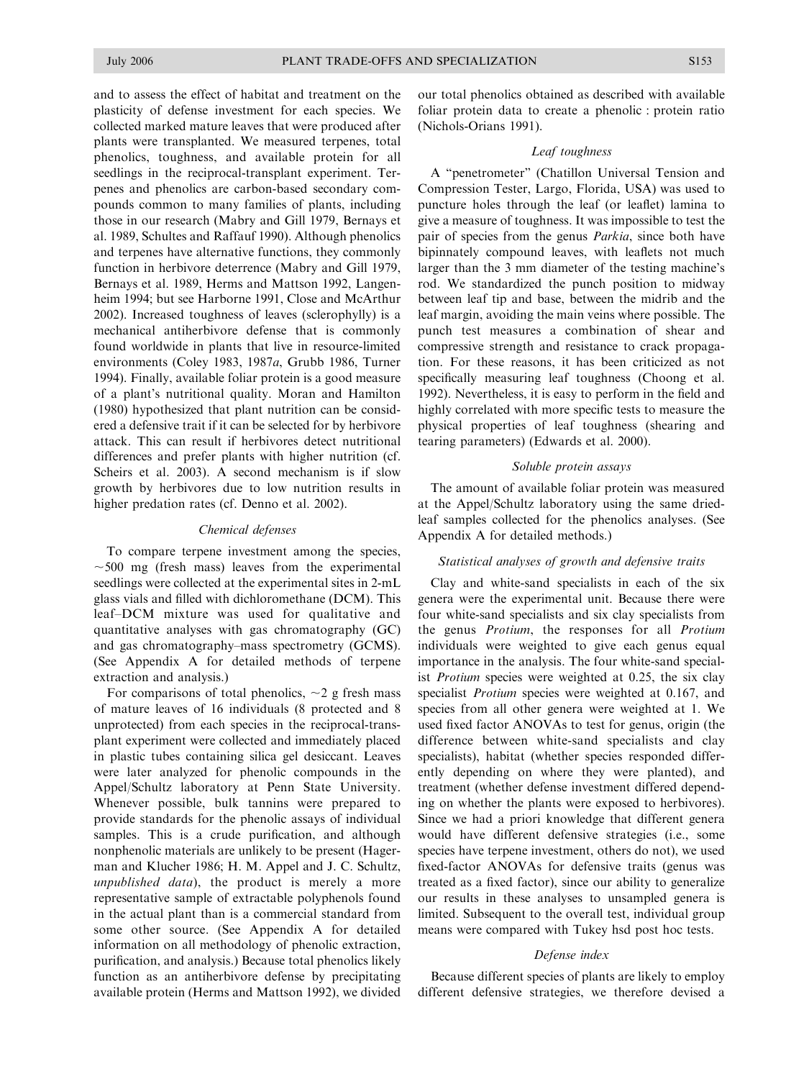and to assess the effect of habitat and treatment on the plasticity of defense investment for each species. We collected marked mature leaves that were produced after plants were transplanted. We measured terpenes, total phenolics, toughness, and available protein for all seedlings in the reciprocal-transplant experiment. Terpenes and phenolics are carbon-based secondary compounds common to many families of plants, including those in our research (Mabry and Gill 1979, Bernays et al. 1989, Schultes and Raffauf 1990). Although phenolics and terpenes have alternative functions, they commonly function in herbivore deterrence (Mabry and Gill 1979, Bernays et al. 1989, Herms and Mattson 1992, Langenheim 1994; but see Harborne 1991, Close and McArthur 2002). Increased toughness of leaves (sclerophylly) is a mechanical antiherbivore defense that is commonly found worldwide in plants that live in resource-limited environments (Coley 1983, 1987a, Grubb 1986, Turner 1994). Finally, available foliar protein is a good measure of a plant's nutritional quality. Moran and Hamilton (1980) hypothesized that plant nutrition can be considered a defensive trait if it can be selected for by herbivore attack. This can result if herbivores detect nutritional differences and prefer plants with higher nutrition (cf. Scheirs et al. 2003). A second mechanism is if slow growth by herbivores due to low nutrition results in higher predation rates (cf. Denno et al. 2002).

### Chemical defenses

To compare terpene investment among the species,  $\sim$ 500 mg (fresh mass) leaves from the experimental seedlings were collected at the experimental sites in 2-mL glass vials and filled with dichloromethane (DCM). This leaf–DCM mixture was used for qualitative and quantitative analyses with gas chromatography (GC) and gas chromatography–mass spectrometry (GCMS). (See Appendix A for detailed methods of terpene extraction and analysis.)

For comparisons of total phenolics,  $\sim$ 2 g fresh mass of mature leaves of 16 individuals (8 protected and 8 unprotected) from each species in the reciprocal-transplant experiment were collected and immediately placed in plastic tubes containing silica gel desiccant. Leaves were later analyzed for phenolic compounds in the Appel/Schultz laboratory at Penn State University. Whenever possible, bulk tannins were prepared to provide standards for the phenolic assays of individual samples. This is a crude purification, and although nonphenolic materials are unlikely to be present (Hagerman and Klucher 1986; H. M. Appel and J. C. Schultz, unpublished data), the product is merely a more representative sample of extractable polyphenols found in the actual plant than is a commercial standard from some other source. (See Appendix A for detailed information on all methodology of phenolic extraction, purification, and analysis.) Because total phenolics likely function as an antiherbivore defense by precipitating available protein (Herms and Mattson 1992), we divided

our total phenolics obtained as described with available foliar protein data to create a phenolic : protein ratio (Nichols-Orians 1991).

#### Leaf toughness

A ''penetrometer'' (Chatillon Universal Tension and Compression Tester, Largo, Florida, USA) was used to puncture holes through the leaf (or leaflet) lamina to give a measure of toughness. It was impossible to test the pair of species from the genus Parkia, since both have bipinnately compound leaves, with leaflets not much larger than the 3 mm diameter of the testing machine's rod. We standardized the punch position to midway between leaf tip and base, between the midrib and the leaf margin, avoiding the main veins where possible. The punch test measures a combination of shear and compressive strength and resistance to crack propagation. For these reasons, it has been criticized as not specifically measuring leaf toughness (Choong et al. 1992). Nevertheless, it is easy to perform in the field and highly correlated with more specific tests to measure the physical properties of leaf toughness (shearing and tearing parameters) (Edwards et al. 2000).

### Soluble protein assays

The amount of available foliar protein was measured at the Appel/Schultz laboratory using the same driedleaf samples collected for the phenolics analyses. (See Appendix A for detailed methods.)

### Statistical analyses of growth and defensive traits

Clay and white-sand specialists in each of the six genera were the experimental unit. Because there were four white-sand specialists and six clay specialists from the genus Protium, the responses for all Protium individuals were weighted to give each genus equal importance in the analysis. The four white-sand specialist Protium species were weighted at 0.25, the six clay specialist Protium species were weighted at 0.167, and species from all other genera were weighted at 1. We used fixed factor ANOVAs to test for genus, origin (the difference between white-sand specialists and clay specialists), habitat (whether species responded differently depending on where they were planted), and treatment (whether defense investment differed depending on whether the plants were exposed to herbivores). Since we had a priori knowledge that different genera would have different defensive strategies (i.e., some species have terpene investment, others do not), we used fixed-factor ANOVAs for defensive traits (genus was treated as a fixed factor), since our ability to generalize our results in these analyses to unsampled genera is limited. Subsequent to the overall test, individual group means were compared with Tukey hsd post hoc tests.

### Defense index

Because different species of plants are likely to employ different defensive strategies, we therefore devised a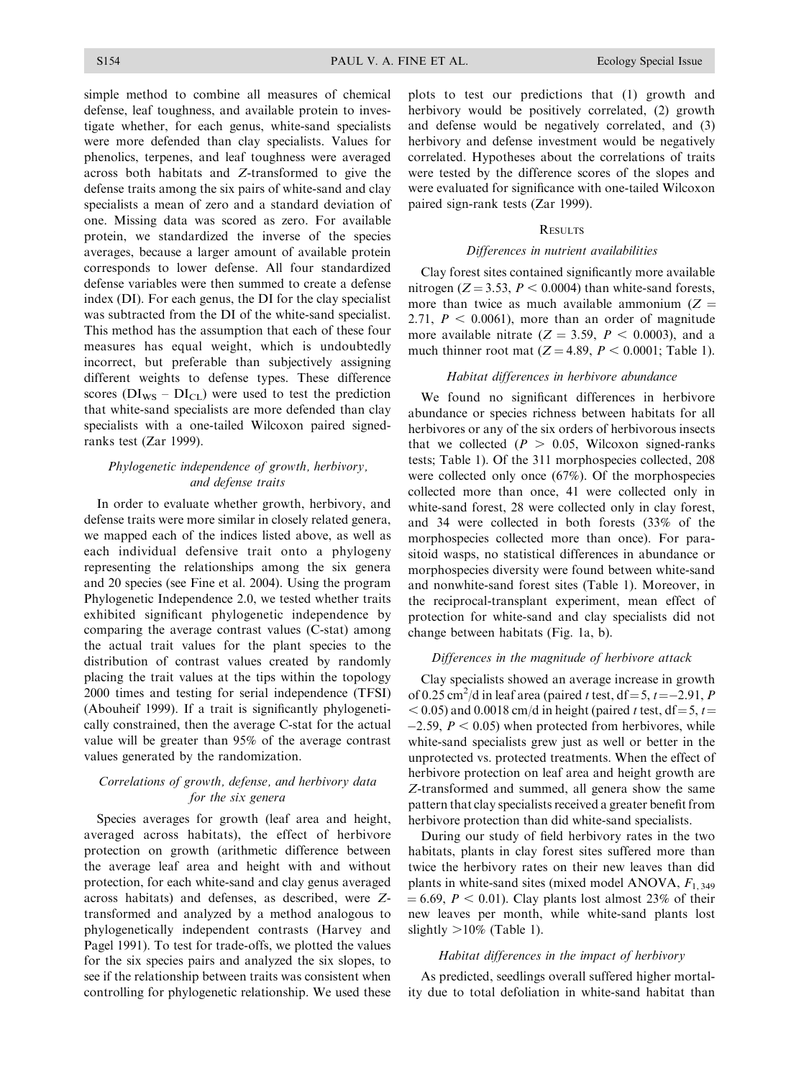simple method to combine all measures of chemical defense, leaf toughness, and available protein to investigate whether, for each genus, white-sand specialists were more defended than clay specialists. Values for phenolics, terpenes, and leaf toughness were averaged across both habitats and Z-transformed to give the defense traits among the six pairs of white-sand and clay specialists a mean of zero and a standard deviation of one. Missing data was scored as zero. For available protein, we standardized the inverse of the species averages, because a larger amount of available protein corresponds to lower defense. All four standardized defense variables were then summed to create a defense index (DI). For each genus, the DI for the clay specialist was subtracted from the DI of the white-sand specialist. This method has the assumption that each of these four measures has equal weight, which is undoubtedly incorrect, but preferable than subjectively assigning different weights to defense types. These difference scores ( $DI_{WS} - DI_{CL}$ ) were used to test the prediction that white-sand specialists are more defended than clay specialists with a one-tailed Wilcoxon paired signedranks test (Zar 1999).

## Phylogenetic independence of growth, herbivory, and defense traits

In order to evaluate whether growth, herbivory, and defense traits were more similar in closely related genera, we mapped each of the indices listed above, as well as each individual defensive trait onto a phylogeny representing the relationships among the six genera and 20 species (see Fine et al. 2004). Using the program Phylogenetic Independence 2.0, we tested whether traits exhibited significant phylogenetic independence by comparing the average contrast values (C-stat) among the actual trait values for the plant species to the distribution of contrast values created by randomly placing the trait values at the tips within the topology 2000 times and testing for serial independence (TFSI) (Abouheif 1999). If a trait is significantly phylogenetically constrained, then the average C-stat for the actual value will be greater than 95% of the average contrast values generated by the randomization.

## Correlations of growth, defense, and herbivory data for the six genera

Species averages for growth (leaf area and height, averaged across habitats), the effect of herbivore protection on growth (arithmetic difference between the average leaf area and height with and without protection, for each white-sand and clay genus averaged across habitats) and defenses, as described, were Ztransformed and analyzed by a method analogous to phylogenetically independent contrasts (Harvey and Pagel 1991). To test for trade-offs, we plotted the values for the six species pairs and analyzed the six slopes, to see if the relationship between traits was consistent when controlling for phylogenetic relationship. We used these plots to test our predictions that (1) growth and herbivory would be positively correlated, (2) growth and defense would be negatively correlated, and (3) herbivory and defense investment would be negatively correlated. Hypotheses about the correlations of traits were tested by the difference scores of the slopes and were evaluated for significance with one-tailed Wilcoxon paired sign-rank tests (Zar 1999).

#### **RESULTS**

#### Differences in nutrient availabilities

Clay forest sites contained significantly more available nitrogen ( $Z = 3.53$ ,  $P < 0.0004$ ) than white-sand forests, more than twice as much available ammonium  $(Z =$ 2.71,  $P < 0.0061$ ), more than an order of magnitude more available nitrate  $(Z = 3.59, P < 0.0003)$ , and a much thinner root mat  $(Z = 4.89, P < 0.0001;$  Table 1).

### Habitat differences in herbivore abundance

We found no significant differences in herbivore abundance or species richness between habitats for all herbivores or any of the six orders of herbivorous insects that we collected  $(P > 0.05$ , Wilcoxon signed-ranks tests; Table 1). Of the 311 morphospecies collected, 208 were collected only once (67%). Of the morphospecies collected more than once, 41 were collected only in white-sand forest, 28 were collected only in clay forest. and 34 were collected in both forests (33% of the morphospecies collected more than once). For parasitoid wasps, no statistical differences in abundance or morphospecies diversity were found between white-sand and nonwhite-sand forest sites (Table 1). Moreover, in the reciprocal-transplant experiment, mean effect of protection for white-sand and clay specialists did not change between habitats (Fig. 1a, b).

## Differences in the magnitude of herbivore attack

Clay specialists showed an average increase in growth of 0.25 cm<sup>2</sup>/d in leaf area (paired t test,  $df = 5$ ,  $t = -2.91$ , P  $<$  0.05) and 0.0018 cm/d in height (paired t test, df = 5, t =  $-2.59$ ,  $P < 0.05$ ) when protected from herbivores, while white-sand specialists grew just as well or better in the unprotected vs. protected treatments. When the effect of herbivore protection on leaf area and height growth are Z-transformed and summed, all genera show the same pattern that clay specialists received a greater benefit from herbivore protection than did white-sand specialists.

During our study of field herbivory rates in the two habitats, plants in clay forest sites suffered more than twice the herbivory rates on their new leaves than did plants in white-sand sites (mixed model ANOVA,  $F_{1,349}$ )  $\mu$  = 6.69, P < 0.01). Clay plants lost almost 23% of their new leaves per month, while white-sand plants lost slightly  $>10\%$  (Table 1).

### Habitat differences in the impact of herbivory

As predicted, seedlings overall suffered higher mortality due to total defoliation in white-sand habitat than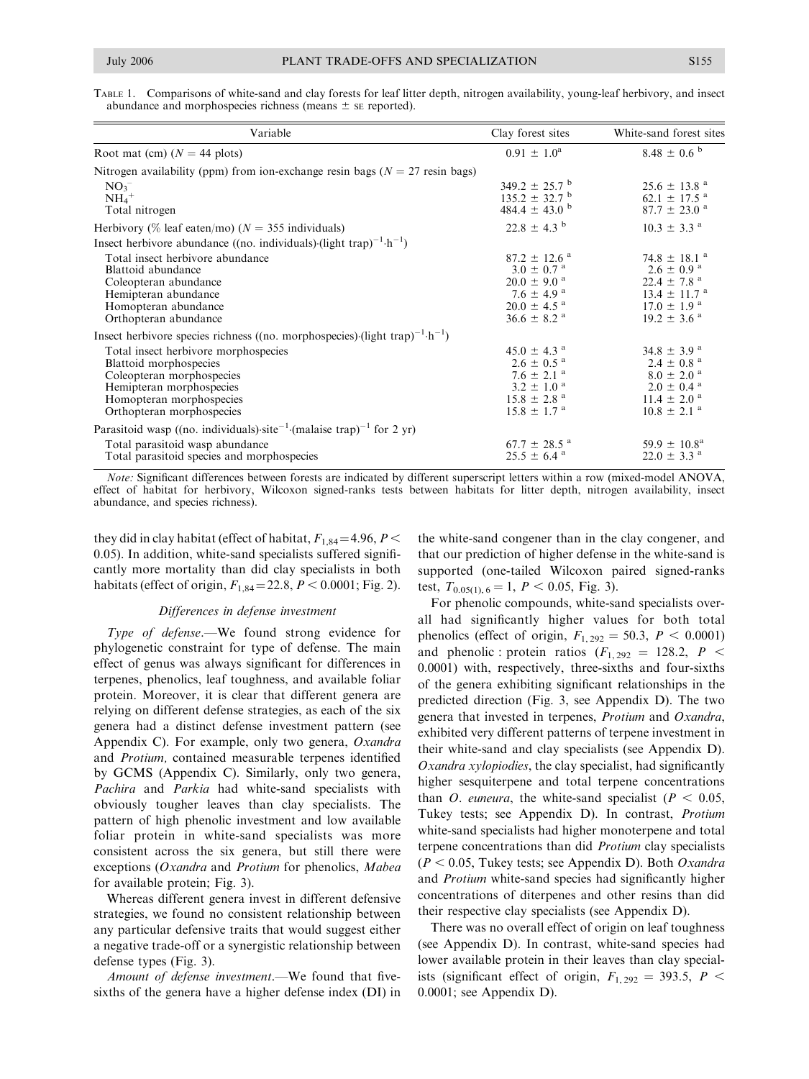TABLE 1. Comparisons of white-sand and clay forests for leaf litter depth, nitrogen availability, young-leaf herbivory, and insect abundance and morphospecies richness (means  $\pm$  se reported).

| Variable                                                                                             | Clay forest sites             | White-sand forest sites      |
|------------------------------------------------------------------------------------------------------|-------------------------------|------------------------------|
| Root mat (cm) $(N = 44$ plots)                                                                       | $0.91 \pm 1.0^{\rm a}$        | $8.48 \pm 0.6^{b}$           |
| Nitrogen availability (ppm) from ion-exchange resin bags ( $N = 27$ resin bags)                      |                               |                              |
| $NO_3^-$                                                                                             | $349.2 \pm 25.7$ <sup>b</sup> | $25.6 \pm 13.8$ <sup>a</sup> |
| $NH_4$ <sup>+</sup>                                                                                  | $135.2 \pm 32.7$ <sup>b</sup> | $62.1 \pm 17.5$ <sup>a</sup> |
| Total nitrogen                                                                                       | 484.4 $\pm$ 43.0 <sup>b</sup> | $87.7 \pm 23.0$ <sup>a</sup> |
| Herbivory (% leaf eaten/mo) ( $N = 355$ individuals)                                                 | $22.8 \pm 4.3$ <sup>b</sup>   | $10.3 \pm 3.3$ <sup>a</sup>  |
| Insect herbivore abundance ((no. individuals) (light trap) <sup>-1</sup> $\cdot$ h <sup>-1</sup> )   |                               |                              |
| Total insect herbivore abundance                                                                     | $87.2 \pm 12.6$ <sup>a</sup>  | $74.8 \pm 18.1$ <sup>a</sup> |
| Blattoid abundance                                                                                   | $3.0 \pm 0.7$ <sup>a</sup>    | $2.6 \pm 0.9$ <sup>a</sup>   |
| Coleopteran abundance                                                                                | $20.0 \pm 9.0$ <sup>a</sup>   | $22.4 \pm 7.8$ <sup>a</sup>  |
| Hemipteran abundance                                                                                 | $7.6 \pm 4.9$ <sup>a</sup>    | $13.4 \pm 11.7$ <sup>a</sup> |
| Homopteran abundance                                                                                 | $20.0 \pm 4.5$ <sup>a</sup>   | $17.0 \pm 1.9$ <sup>a</sup>  |
| Orthopteran abundance                                                                                | $36.6 \pm 8.2$ <sup>a</sup>   | $19.2 \pm 3.6$ <sup>a</sup>  |
| Insect herbivore species richness ((no. morphospecies) (light trap) <sup>-1</sup> ·h <sup>-1</sup> ) |                               |                              |
| Total insect herbivore morphospecies                                                                 | $45.0 \pm 4.3$ <sup>a</sup>   | $34.8 \pm 3.9$ <sup>a</sup>  |
| Blattoid morphospecies                                                                               | $2.6 \pm 0.5$ <sup>a</sup>    | $2.4 \pm 0.8$ <sup>a</sup>   |
| Coleopteran morphospecies                                                                            | $7.6 \pm 2.1$ <sup>a</sup>    | $8.0 \pm 2.0$ <sup>a</sup>   |
| Hemipteran morphospecies                                                                             | $3.2 \pm 1.0^{\circ}$         | $2.0 \pm 0.4$ <sup>a</sup>   |
| Homopteran morphospecies                                                                             | $15.8 \pm 2.8$ <sup>a</sup>   | $11.4 \pm 2.0$ <sup>a</sup>  |
| Orthopteran morphospecies                                                                            | $15.8 \pm 1.7$ <sup>a</sup>   | $10.8 \pm 2.1$ <sup>a</sup>  |
| Parasitoid wasp ((no. individuals) site <sup>-1</sup> (malaise trap) <sup>-1</sup> for 2 yr)         |                               |                              |
| Total parasitoid wasp abundance                                                                      | $67.7 \pm 28.5$ <sup>a</sup>  | $59.9 \pm 10.8^{\rm a}$      |
| Total parasitoid species and morphospecies                                                           | $25.5 \pm 6.4$ <sup>a</sup>   | $22.0 \pm 3.3$ <sup>a</sup>  |

Note: Significant differences between forests are indicated by different superscript letters within a row (mixed-model ANOVA, effect of habitat for herbivory, Wilcoxon signed-ranks tests between habitats for litter depth, nitrogen availability, insect abundance, and species richness).

they did in clay habitat (effect of habitat,  $F_{1,84} = 4.96$ ,  $P <$ 0.05). In addition, white-sand specialists suffered significantly more mortality than did clay specialists in both habitats (effect of origin,  $F_{1,84} = 22.8$ ,  $P < 0.0001$ ; Fig. 2).

#### Differences in defense investment

Type of defense.—We found strong evidence for phylogenetic constraint for type of defense. The main effect of genus was always significant for differences in terpenes, phenolics, leaf toughness, and available foliar protein. Moreover, it is clear that different genera are relying on different defense strategies, as each of the six genera had a distinct defense investment pattern (see Appendix C). For example, only two genera, Oxandra and Protium, contained measurable terpenes identified by GCMS (Appendix C). Similarly, only two genera, Pachira and Parkia had white-sand specialists with obviously tougher leaves than clay specialists. The pattern of high phenolic investment and low available foliar protein in white-sand specialists was more consistent across the six genera, but still there were exceptions (Oxandra and Protium for phenolics, Mabea for available protein; Fig. 3).

Whereas different genera invest in different defensive strategies, we found no consistent relationship between any particular defensive traits that would suggest either a negative trade-off or a synergistic relationship between defense types (Fig. 3).

Amount of defense investment.—We found that fivesixths of the genera have a higher defense index (DI) in the white-sand congener than in the clay congener, and that our prediction of higher defense in the white-sand is supported (one-tailed Wilcoxon paired signed-ranks test,  $T_{0.05(1), 6} = 1, P < 0.05,$  Fig. 3).

For phenolic compounds, white-sand specialists overall had significantly higher values for both total phenolics (effect of origin,  $F_{1,292} = 50.3$ ,  $P < 0.0001$ ) and phenolic : protein ratios  $(F_{1,292} = 128.2, P <$ 0.0001) with, respectively, three-sixths and four-sixths of the genera exhibiting significant relationships in the predicted direction (Fig. 3, see Appendix D). The two genera that invested in terpenes, Protium and Oxandra, exhibited very different patterns of terpene investment in their white-sand and clay specialists (see Appendix D). Oxandra xylopiodies, the clay specialist, had significantly higher sesquiterpene and total terpene concentrations than *O. euneura*, the white-sand specialist ( $P < 0.05$ , Tukey tests; see Appendix D). In contrast, Protium white-sand specialists had higher monoterpene and total terpene concentrations than did Protium clay specialists  $(P < 0.05$ , Tukey tests; see Appendix D). Both Oxandra and Protium white-sand species had significantly higher concentrations of diterpenes and other resins than did their respective clay specialists (see Appendix D).

There was no overall effect of origin on leaf toughness (see Appendix D). In contrast, white-sand species had lower available protein in their leaves than clay specialists (significant effect of origin,  $F_{1,292} = 393.5$ ,  $P <$ 0.0001; see Appendix D).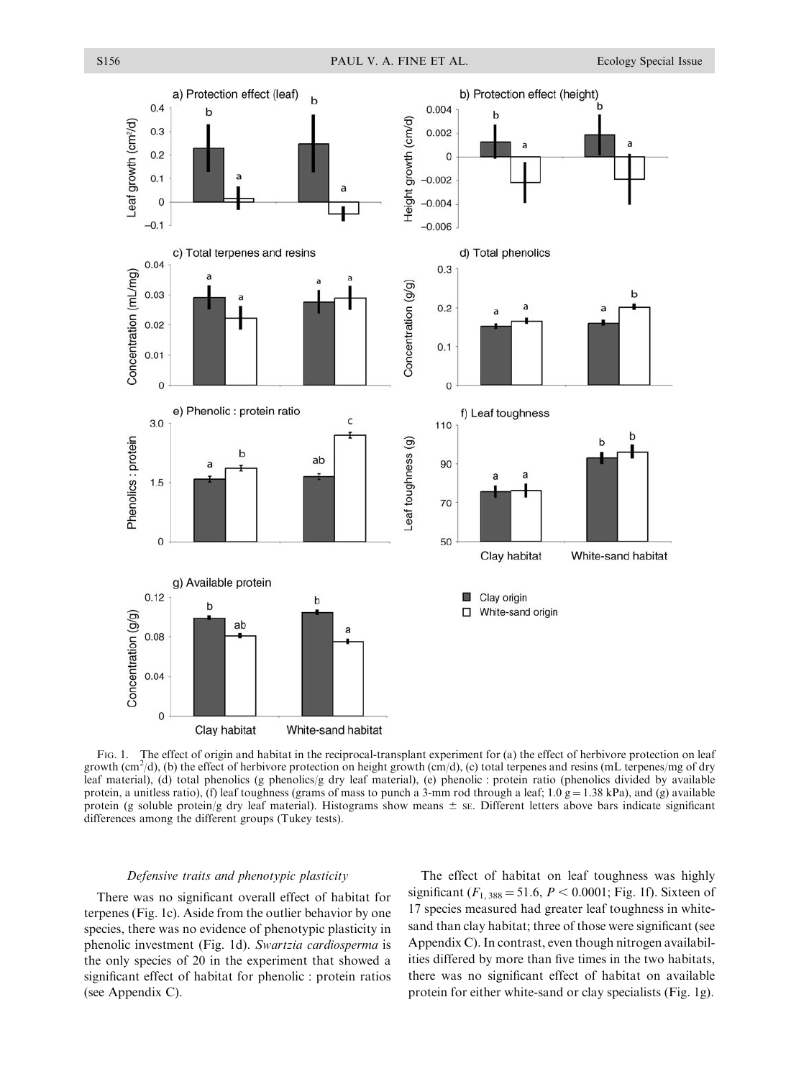

FIG. 1. The effect of origin and habitat in the reciprocal-transplant experiment for (a) the effect of herbivore protection on leaf growth  $(cm^2/d)$ , (b) the effect of herbivore protection on height growth  $(rm/d)$ , (c) total terpenes and resins (mL terpenes/mg of dry leaf material), (d) total phenolics (g phenolics/g dry leaf material), (e) phenolic : protein ratio (phenolics divided by available protein, a unitless ratio), (f) leaf toughness (grams of mass to punch a 3-mm rod through a leaf; 1.0  $g = 1.38$  kPa), and (g) available protein (g soluble protein/g dry leaf material). Histograms show means  $\pm$  se. Different letters above bars indicate significant differences among the different groups (Tukey tests).

#### Defensive traits and phenotypic plasticity

There was no significant overall effect of habitat for terpenes (Fig. 1c). Aside from the outlier behavior by one species, there was no evidence of phenotypic plasticity in phenolic investment (Fig. 1d). Swartzia cardiosperma is the only species of 20 in the experiment that showed a significant effect of habitat for phenolic : protein ratios (see Appendix C).

The effect of habitat on leaf toughness was highly significant ( $F_{1,388} = 51.6, P < 0.0001$ ; Fig. 1f). Sixteen of 17 species measured had greater leaf toughness in whitesand than clay habitat; three of those were significant (see Appendix C). In contrast, even though nitrogen availabilities differed by more than five times in the two habitats, there was no significant effect of habitat on available protein for either white-sand or clay specialists (Fig. 1g).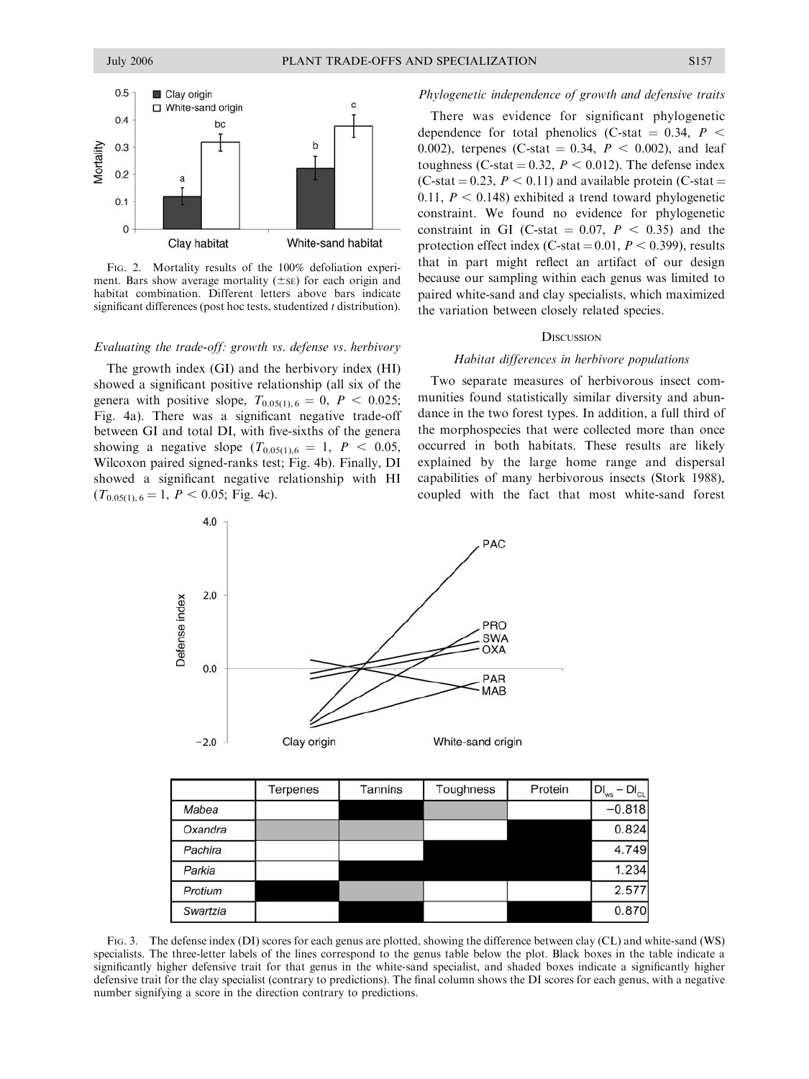

FIG. 2. Mortality results of the 100% defoliation experiment. Bars show average mortality  $(\pm s)$  for each origin and habitat combination. Different letters above bars indicate significant differences (post hoc tests, studentized  $t$  distribution).

#### Evaluating the trade-off: growth vs. defense vs. herbivory

The growth index (GI) and the herbivory index (HI) showed a significant positive relationship (all six of the genera with positive slope,  $T_{0.05(1), 6} = 0$ ,  $P < 0.025$ ; Fig. 4a). There was a significant negative trade-off between GI and total DI, with five-sixths of the genera showing a negative slope  $(T_{0.05(1),6} = 1, P < 0.05,$ Wilcoxon paired signed-ranks test; Fig. 4b). Finally, DI showed a significant negative relationship with HI  $(T_{0.05(1), 6} = 1, P < 0.05;$  Fig. 4c).

#### Phylogenetic independence of growth and defensive traits

There was evidence for significant phylogenetic dependence for total phenolics (C-stat  $= 0.34$ ,  $P <$ 0.002), terpenes (C-stat = 0.34,  $P < 0.002$ ), and leaf toughness (C-stat = 0.32,  $P < 0.012$ ). The defense index (C-stat  $= 0.23$ ,  $P < 0.11$ ) and available protein (C-stat  $=$ 0.11,  $P < 0.148$ ) exhibited a trend toward phylogenetic constraint. We found no evidence for phylogenetic constraint in GI (C-stat  $= 0.07$ ,  $P < 0.35$ ) and the protection effect index (C-stat =  $0.01$ ,  $P < 0.399$ ), results that in part might reflect an artifact of our design because our sampling within each genus was limited to paired white-sand and clay specialists, which maximized the variation between closely related species.

#### **DISCUSSION**

#### Habitat differences in herbivore populations

Two separate measures of herbivorous insect communities found statistically similar diversity and abundance in the two forest types. In addition, a full third of the morphospecies that were collected more than once occurred in both habitats. These results are likely explained by the large home range and dispersal capabilities of many herbivorous insects (Stork 1988), coupled with the fact that most white-sand forest



|          | Terpenes | Tannins | Toughness | Protein | $DI_{ws}$<br>$-DI_{CL}$ |
|----------|----------|---------|-----------|---------|-------------------------|
| Mabea    |          |         |           |         | $-0.818$                |
| Oxandra  |          |         |           |         | 0.824                   |
| Pachira  |          |         |           |         | 4.749                   |
| Parkia   |          |         |           |         | 1.234                   |
| Protium  |          |         |           |         | 2.577                   |
| Swartzia |          |         |           |         | 0.870                   |

FIG. 3. The defense index (DI) scores for each genus are plotted, showing the difference between clay (CL) and white-sand (WS) specialists. The three-letter labels of the lines correspond to the genus table below the plot. Black boxes in the table indicate a significantly higher defensive trait for that genus in the white-sand specialist, and shaded boxes indicate a significantly higher defensive trait for the clay specialist (contrary to predictions). The final column shows the DI scores for each genus, with a negative number signifying a score in the direction contrary to predictions.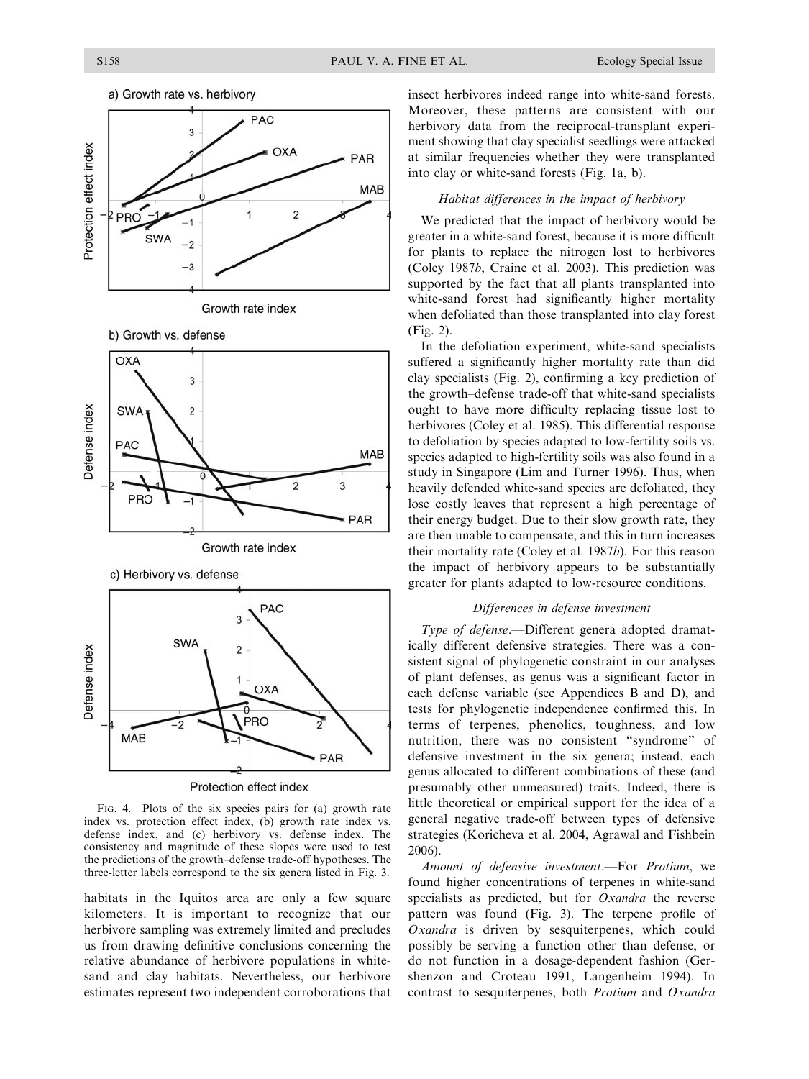





c) Herbivory vs. defense



Protection effect index

FIG. 4. Plots of the six species pairs for (a) growth rate index vs. protection effect index, (b) growth rate index vs. defense index, and (c) herbivory vs. defense index. The consistency and magnitude of these slopes were used to test the predictions of the growth–defense trade-off hypotheses. The three-letter labels correspond to the six genera listed in Fig. 3.

habitats in the Iquitos area are only a few square kilometers. It is important to recognize that our herbivore sampling was extremely limited and precludes us from drawing definitive conclusions concerning the relative abundance of herbivore populations in whitesand and clay habitats. Nevertheless, our herbivore estimates represent two independent corroborations that insect herbivores indeed range into white-sand forests. Moreover, these patterns are consistent with our herbivory data from the reciprocal-transplant experiment showing that clay specialist seedlings were attacked at similar frequencies whether they were transplanted into clay or white-sand forests (Fig. 1a, b).

### Habitat differences in the impact of herbivory

We predicted that the impact of herbivory would be greater in a white-sand forest, because it is more difficult for plants to replace the nitrogen lost to herbivores (Coley 1987b, Craine et al. 2003). This prediction was supported by the fact that all plants transplanted into white-sand forest had significantly higher mortality when defoliated than those transplanted into clay forest (Fig. 2).

In the defoliation experiment, white-sand specialists suffered a significantly higher mortality rate than did clay specialists (Fig. 2), confirming a key prediction of the growth–defense trade-off that white-sand specialists ought to have more difficulty replacing tissue lost to herbivores (Coley et al. 1985). This differential response to defoliation by species adapted to low-fertility soils vs. species adapted to high-fertility soils was also found in a study in Singapore (Lim and Turner 1996). Thus, when heavily defended white-sand species are defoliated, they lose costly leaves that represent a high percentage of their energy budget. Due to their slow growth rate, they are then unable to compensate, and this in turn increases their mortality rate (Coley et al. 1987b). For this reason the impact of herbivory appears to be substantially greater for plants adapted to low-resource conditions.

## Differences in defense investment

Type of defense.—Different genera adopted dramatically different defensive strategies. There was a consistent signal of phylogenetic constraint in our analyses of plant defenses, as genus was a significant factor in each defense variable (see Appendices B and D), and tests for phylogenetic independence confirmed this. In terms of terpenes, phenolics, toughness, and low nutrition, there was no consistent ''syndrome'' of defensive investment in the six genera; instead, each genus allocated to different combinations of these (and presumably other unmeasured) traits. Indeed, there is little theoretical or empirical support for the idea of a general negative trade-off between types of defensive strategies (Koricheva et al. 2004, Agrawal and Fishbein 2006).

Amount of defensive investment.—For Protium, we found higher concentrations of terpenes in white-sand specialists as predicted, but for Oxandra the reverse pattern was found (Fig. 3). The terpene profile of Oxandra is driven by sesquiterpenes, which could possibly be serving a function other than defense, or do not function in a dosage-dependent fashion (Gershenzon and Croteau 1991, Langenheim 1994). In contrast to sesquiterpenes, both Protium and Oxandra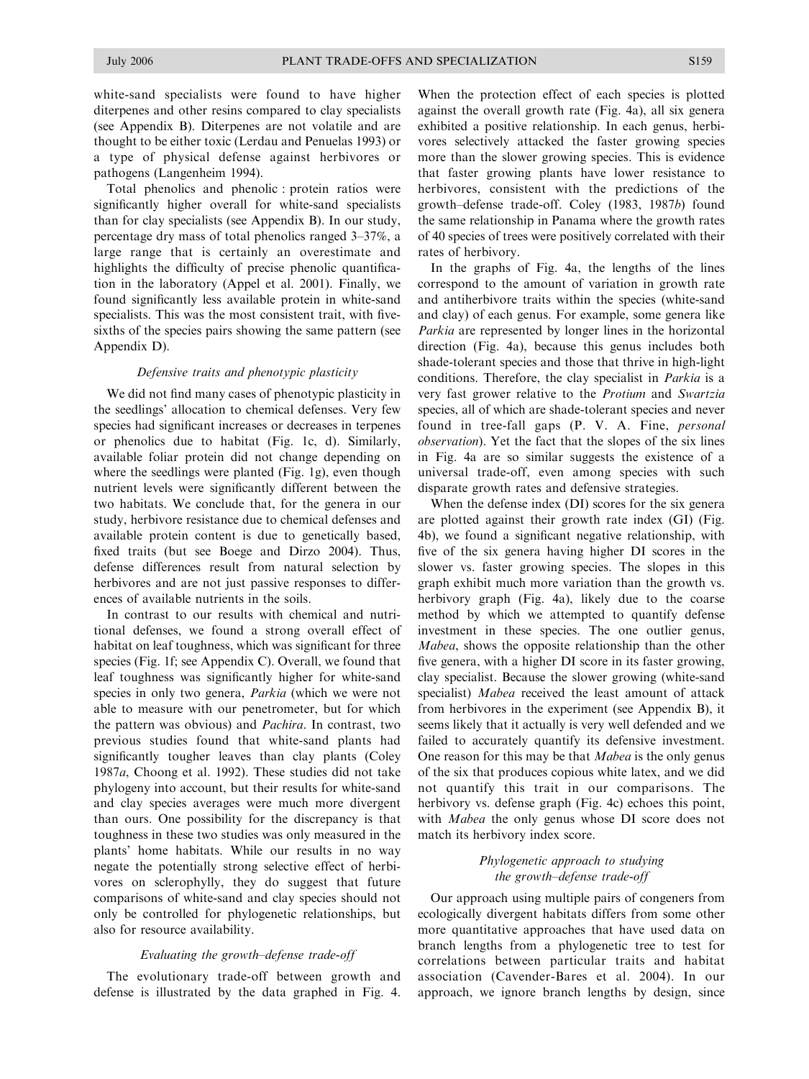white-sand specialists were found to have higher diterpenes and other resins compared to clay specialists (see Appendix B). Diterpenes are not volatile and are thought to be either toxic (Lerdau and Penuelas 1993) or a type of physical defense against herbivores or pathogens (Langenheim 1994).

Total phenolics and phenolic : protein ratios were significantly higher overall for white-sand specialists than for clay specialists (see Appendix B). In our study, percentage dry mass of total phenolics ranged 3–37%, a large range that is certainly an overestimate and highlights the difficulty of precise phenolic quantification in the laboratory (Appel et al. 2001). Finally, we found significantly less available protein in white-sand specialists. This was the most consistent trait, with fivesixths of the species pairs showing the same pattern (see Appendix D).

#### Defensive traits and phenotypic plasticity

We did not find many cases of phenotypic plasticity in the seedlings' allocation to chemical defenses. Very few species had significant increases or decreases in terpenes or phenolics due to habitat (Fig. 1c, d). Similarly, available foliar protein did not change depending on where the seedlings were planted (Fig. 1g), even though nutrient levels were significantly different between the two habitats. We conclude that, for the genera in our study, herbivore resistance due to chemical defenses and available protein content is due to genetically based, fixed traits (but see Boege and Dirzo 2004). Thus, defense differences result from natural selection by herbivores and are not just passive responses to differences of available nutrients in the soils.

In contrast to our results with chemical and nutritional defenses, we found a strong overall effect of habitat on leaf toughness, which was significant for three species (Fig. 1f; see Appendix C). Overall, we found that leaf toughness was significantly higher for white-sand species in only two genera, *Parkia* (which we were not able to measure with our penetrometer, but for which the pattern was obvious) and Pachira. In contrast, two previous studies found that white-sand plants had significantly tougher leaves than clay plants (Coley 1987a, Choong et al. 1992). These studies did not take phylogeny into account, but their results for white-sand and clay species averages were much more divergent than ours. One possibility for the discrepancy is that toughness in these two studies was only measured in the plants' home habitats. While our results in no way negate the potentially strong selective effect of herbivores on sclerophylly, they do suggest that future comparisons of white-sand and clay species should not only be controlled for phylogenetic relationships, but also for resource availability.

#### Evaluating the growth–defense trade-off

The evolutionary trade-off between growth and defense is illustrated by the data graphed in Fig. 4. When the protection effect of each species is plotted against the overall growth rate (Fig. 4a), all six genera exhibited a positive relationship. In each genus, herbivores selectively attacked the faster growing species more than the slower growing species. This is evidence that faster growing plants have lower resistance to herbivores, consistent with the predictions of the growth–defense trade-off. Coley (1983, 1987b) found the same relationship in Panama where the growth rates of 40 species of trees were positively correlated with their rates of herbivory.

In the graphs of Fig. 4a, the lengths of the lines correspond to the amount of variation in growth rate and antiherbivore traits within the species (white-sand and clay) of each genus. For example, some genera like Parkia are represented by longer lines in the horizontal direction (Fig. 4a), because this genus includes both shade-tolerant species and those that thrive in high-light conditions. Therefore, the clay specialist in Parkia is a very fast grower relative to the Protium and Swartzia species, all of which are shade-tolerant species and never found in tree-fall gaps (P. V. A. Fine, personal observation). Yet the fact that the slopes of the six lines in Fig. 4a are so similar suggests the existence of a universal trade-off, even among species with such disparate growth rates and defensive strategies.

When the defense index (DI) scores for the six genera are plotted against their growth rate index (GI) (Fig. 4b), we found a significant negative relationship, with five of the six genera having higher DI scores in the slower vs. faster growing species. The slopes in this graph exhibit much more variation than the growth vs. herbivory graph (Fig. 4a), likely due to the coarse method by which we attempted to quantify defense investment in these species. The one outlier genus, Mabea, shows the opposite relationship than the other five genera, with a higher DI score in its faster growing, clay specialist. Because the slower growing (white-sand specialist) Mabea received the least amount of attack from herbivores in the experiment (see Appendix B), it seems likely that it actually is very well defended and we failed to accurately quantify its defensive investment. One reason for this may be that Mabea is the only genus of the six that produces copious white latex, and we did not quantify this trait in our comparisons. The herbivory vs. defense graph (Fig. 4c) echoes this point, with *Mabea* the only genus whose DI score does not match its herbivory index score.

## Phylogenetic approach to studying the growth–defense trade-off

Our approach using multiple pairs of congeners from ecologically divergent habitats differs from some other more quantitative approaches that have used data on branch lengths from a phylogenetic tree to test for correlations between particular traits and habitat association (Cavender-Bares et al. 2004). In our approach, we ignore branch lengths by design, since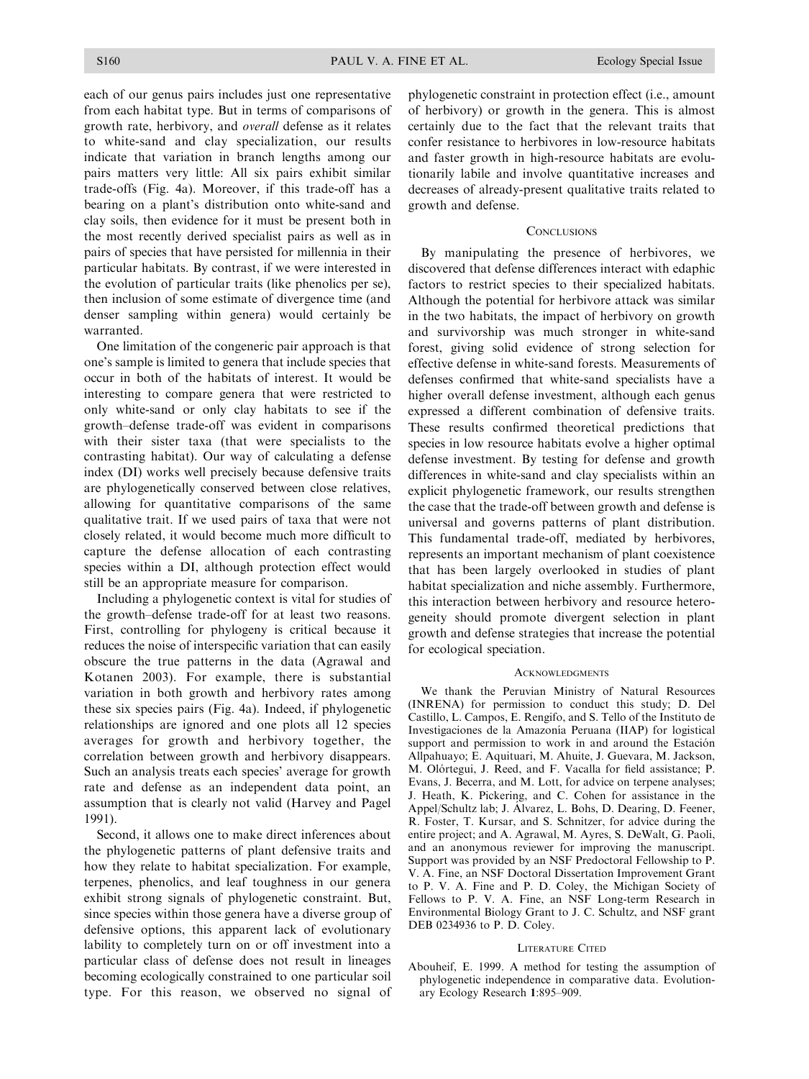each of our genus pairs includes just one representative from each habitat type. But in terms of comparisons of growth rate, herbivory, and overall defense as it relates to white-sand and clay specialization, our results indicate that variation in branch lengths among our pairs matters very little: All six pairs exhibit similar trade-offs (Fig. 4a). Moreover, if this trade-off has a bearing on a plant's distribution onto white-sand and clay soils, then evidence for it must be present both in the most recently derived specialist pairs as well as in pairs of species that have persisted for millennia in their particular habitats. By contrast, if we were interested in the evolution of particular traits (like phenolics per se), then inclusion of some estimate of divergence time (and denser sampling within genera) would certainly be warranted.

One limitation of the congeneric pair approach is that one's sample is limited to genera that include species that occur in both of the habitats of interest. It would be interesting to compare genera that were restricted to only white-sand or only clay habitats to see if the growth–defense trade-off was evident in comparisons with their sister taxa (that were specialists to the contrasting habitat). Our way of calculating a defense index (DI) works well precisely because defensive traits are phylogenetically conserved between close relatives, allowing for quantitative comparisons of the same qualitative trait. If we used pairs of taxa that were not closely related, it would become much more difficult to capture the defense allocation of each contrasting species within a DI, although protection effect would still be an appropriate measure for comparison.

Including a phylogenetic context is vital for studies of the growth–defense trade-off for at least two reasons. First, controlling for phylogeny is critical because it reduces the noise of interspecific variation that can easily obscure the true patterns in the data (Agrawal and Kotanen 2003). For example, there is substantial variation in both growth and herbivory rates among these six species pairs (Fig. 4a). Indeed, if phylogenetic relationships are ignored and one plots all 12 species averages for growth and herbivory together, the correlation between growth and herbivory disappears. Such an analysis treats each species' average for growth rate and defense as an independent data point, an assumption that is clearly not valid (Harvey and Pagel 1991).

Second, it allows one to make direct inferences about the phylogenetic patterns of plant defensive traits and how they relate to habitat specialization. For example, terpenes, phenolics, and leaf toughness in our genera exhibit strong signals of phylogenetic constraint. But, since species within those genera have a diverse group of defensive options, this apparent lack of evolutionary lability to completely turn on or off investment into a particular class of defense does not result in lineages becoming ecologically constrained to one particular soil type. For this reason, we observed no signal of phylogenetic constraint in protection effect (i.e., amount of herbivory) or growth in the genera. This is almost certainly due to the fact that the relevant traits that confer resistance to herbivores in low-resource habitats and faster growth in high-resource habitats are evolutionarily labile and involve quantitative increases and decreases of already-present qualitative traits related to growth and defense.

### **CONCLUSIONS**

By manipulating the presence of herbivores, we discovered that defense differences interact with edaphic factors to restrict species to their specialized habitats. Although the potential for herbivore attack was similar in the two habitats, the impact of herbivory on growth and survivorship was much stronger in white-sand forest, giving solid evidence of strong selection for effective defense in white-sand forests. Measurements of defenses confirmed that white-sand specialists have a higher overall defense investment, although each genus expressed a different combination of defensive traits. These results confirmed theoretical predictions that species in low resource habitats evolve a higher optimal defense investment. By testing for defense and growth differences in white-sand and clay specialists within an explicit phylogenetic framework, our results strengthen the case that the trade-off between growth and defense is universal and governs patterns of plant distribution. This fundamental trade-off, mediated by herbivores, represents an important mechanism of plant coexistence that has been largely overlooked in studies of plant habitat specialization and niche assembly. Furthermore, this interaction between herbivory and resource heterogeneity should promote divergent selection in plant growth and defense strategies that increase the potential for ecological speciation.

#### **ACKNOWLEDGMENTS**

We thank the Peruvian Ministry of Natural Resources (INRENA) for permission to conduct this study; D. Del Castillo, L. Campos, E. Rengifo, and S. Tello of the Instituto de Investigaciones de la Amazonía Peruana (IIAP) for logistical support and permission to work in and around the Estación Allpahuayo; E. Aquituari, M. Ahuite, J. Guevara, M. Jackson, M. Olórtegui, J. Reed, and F. Vacalla for field assistance; P. Evans, J. Becerra, and M. Lott, for advice on terpene analyses; J. Heath, K. Pickering, and C. Cohen for assistance in the Appel/Schultz lab; J. Alvarez, L. Bohs, D. Dearing, D. Feener, R. Foster, T. Kursar, and S. Schnitzer, for advice during the entire project; and A. Agrawal, M. Ayres, S. DeWalt, G. Paoli, and an anonymous reviewer for improving the manuscript. Support was provided by an NSF Predoctoral Fellowship to P. V. A. Fine, an NSF Doctoral Dissertation Improvement Grant to P. V. A. Fine and P. D. Coley, the Michigan Society of Fellows to P. V. A. Fine, an NSF Long-term Research in Environmental Biology Grant to J. C. Schultz, and NSF grant DEB 0234936 to P. D. Coley.

#### LITERATURE CITED

Abouheif, E. 1999. A method for testing the assumption of phylogenetic independence in comparative data. Evolutionary Ecology Research 1:895–909.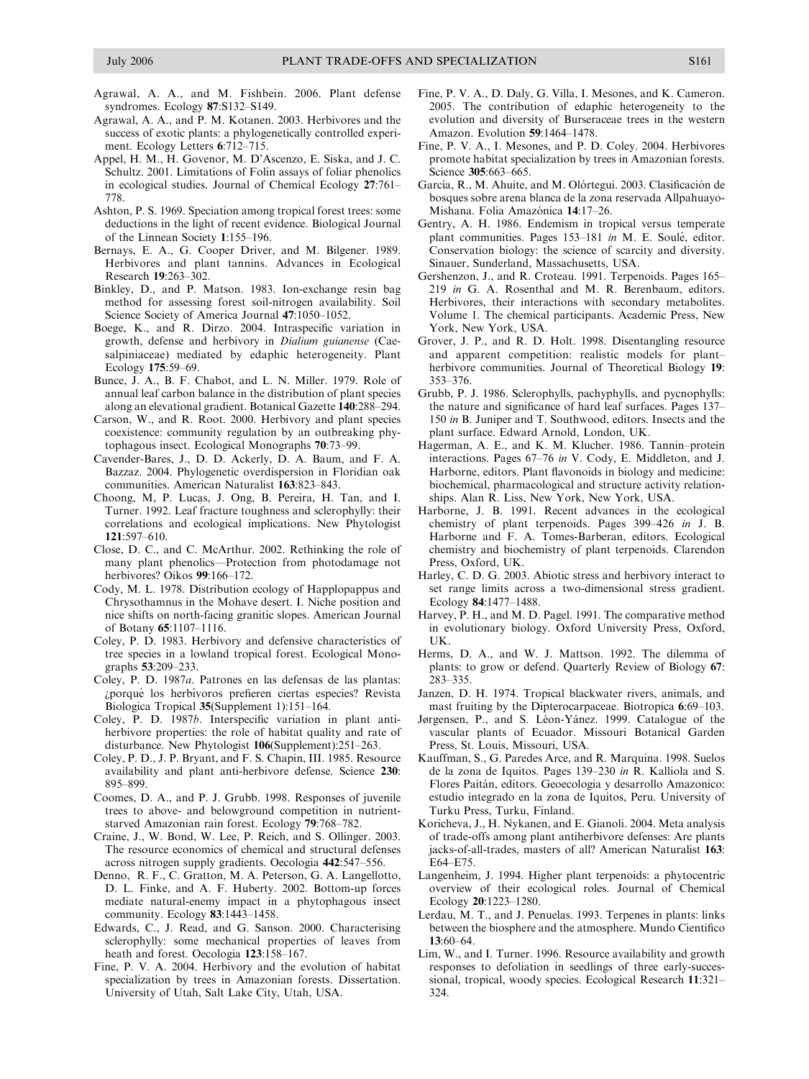- Agrawal, A. A., and M. Fishbein. 2006. Plant defense syndromes. Ecology 87:S132–S149.
- Agrawal, A. A., and P. M. Kotanen. 2003. Herbivores and the success of exotic plants: a phylogenetically controlled experiment. Ecology Letters 6:712–715.
- Appel, H. M., H. Govenor, M. D'Ascenzo, E. Siska, and J. C. Schultz. 2001. Limitations of Folin assays of foliar phenolics in ecological studies. Journal of Chemical Ecology 27:761– 778.
- Ashton, P. S. 1969. Speciation among tropical forest trees: some deductions in the light of recent evidence. Biological Journal of the Linnean Society 1:155–196.
- Bernays, E. A., G. Cooper Driver, and M. Bilgener. 1989. Herbivores and plant tannins. Advances in Ecological Research 19:263–302.
- Binkley, D., and P. Matson. 1983. Ion-exchange resin bag method for assessing forest soil-nitrogen availability. Soil Science Society of America Journal 47:1050–1052.
- Boege, K., and R. Dirzo. 2004. Intraspecific variation in growth, defense and herbivory in Dialium guianense (Caesalpiniaceae) mediated by edaphic heterogeneity. Plant Ecology 175:59–69.
- Bunce, J. A., B. F. Chabot, and L. N. Miller. 1979. Role of annual leaf carbon balance in the distribution of plant species along an elevational gradient. Botanical Gazette 140:288–294.
- Carson, W., and R. Root. 2000. Herbivory and plant species coexistence: community regulation by an outbreaking phytophagous insect. Ecological Monographs 70:73–99.
- Cavender-Bares, J., D. D. Ackerly, D. A. Baum, and F. A. Bazzaz. 2004. Phylogenetic overdispersion in Floridian oak communities. American Naturalist 163:823–843.
- Choong, M, P. Lucas, J. Ong, B. Pereira, H. Tan, and I. Turner. 1992. Leaf fracture toughness and sclerophylly: their correlations and ecological implications. New Phytologist  $121.597-610.$
- Close, D. C., and C. McArthur. 2002. Rethinking the role of many plant phenolics—Protection from photodamage not herbivores? Oikos 99:166-172.
- Cody, M. L. 1978. Distribution ecology of Happlopappus and Chrysothamnus in the Mohave desert. I. Niche position and nice shifts on north-facing granitic slopes. American Journal of Botany 65:1107–1116.
- Coley, P. D. 1983. Herbivory and defensive characteristics of tree species in a lowland tropical forest. Ecological Monographs 53:209–233.
- Coley, P. D. 1987a. Patrones en las defensas de las plantas: ¿porqué los herbívoros prefieren ciertas especies? Revista Biologica Tropical 35(Supplement 1):151–164.
- Coley, P. D. 1987b. Interspecific variation in plant antiherbivore properties: the role of habitat quality and rate of disturbance. New Phytologist 106(Supplement):251–263.
- Coley, P. D., J. P. Bryant, and F. S. Chapin, III. 1985. Resource availability and plant anti-herbivore defense. Science 230: 895–899.
- Coomes, D. A., and P. J. Grubb. 1998. Responses of juvenile trees to above- and belowground competition in nutrientstarved Amazonian rain forest. Ecology 79:768–782.
- Craine, J., W. Bond, W. Lee, P. Reich, and S. Ollinger. 2003. The resource economics of chemical and structural defenses across nitrogen supply gradients. Oecologia 442:547–556.
- Denno, R. F., C. Gratton, M. A. Peterson, G. A. Langellotto, D. L. Finke, and A. F. Huberty. 2002. Bottom-up forces mediate natural-enemy impact in a phytophagous insect community. Ecology 83:1443–1458.
- Edwards, C., J. Read, and G. Sanson. 2000. Characterising sclerophylly: some mechanical properties of leaves from heath and forest. Oecologia 123:158–167.
- Fine, P. V. A. 2004. Herbivory and the evolution of habitat specialization by trees in Amazonian forests. Dissertation. University of Utah, Salt Lake City, Utah, USA.
- Fine, P. V. A., D. Daly, G. Villa, I. Mesones, and K. Cameron. 2005. The contribution of edaphic heterogeneity to the evolution and diversity of Burseraceae trees in the western Amazon. Evolution 59:1464–1478.
- Fine, P. V. A., I. Mesones, and P. D. Coley. 2004. Herbivores promote habitat specialization by trees in Amazonian forests. Science 305:663–665.
- García, R., M. Ahuite, and M. Olórtegui. 2003. Clasificación de bosques sobre arena blanca de la zona reservada Allpahuayo-Mishana. Folia Amazónica 14:17-26.
- Gentry, A. H. 1986. Endemism in tropical versus temperate plant communities. Pages 153–181 in M. E. Soulé, editor. Conservation biology: the science of scarcity and diversity. Sinauer, Sunderland, Massachusetts, USA.
- Gershenzon, J., and R. Croteau. 1991. Terpenoids. Pages 165– 219 in G. A. Rosenthal and M. R. Berenbaum, editors. Herbivores, their interactions with secondary metabolites. Volume 1. The chemical participants. Academic Press, New York, New York, USA.
- Grover, J. P., and R. D. Holt. 1998. Disentangling resource and apparent competition: realistic models for plant– herbivore communities. Journal of Theoretical Biology 19: 353–376.
- Grubb, P. J. 1986. Sclerophylls, pachyphylls, and pycnophylls: the nature and significance of hard leaf surfaces. Pages 137– 150 in B. Juniper and T. Southwood, editors. Insects and the plant surface. Edward Arnold, London, UK.
- Hagerman, A. E., and K. M. Klucher. 1986. Tannin–protein interactions. Pages 67–76 in V. Cody, E. Middleton, and J. Harborne, editors. Plant flavonoids in biology and medicine: biochemical, pharmacological and structure activity relationships. Alan R. Liss, New York, New York, USA.
- Harborne, J. B. 1991. Recent advances in the ecological chemistry of plant terpenoids. Pages 399–426 in J. B. Harborne and F. A. Tomes-Barberan, editors. Ecological chemistry and biochemistry of plant terpenoids. Clarendon Press, Oxford, UK.
- Harley, C. D. G. 2003. Abiotic stress and herbivory interact to set range limits across a two-dimensional stress gradient. Ecology 84:1477–1488.
- Harvey, P. H., and M. D. Pagel. 1991. The comparative method in evolutionary biology. Oxford University Press, Oxford, UK.
- Herms, D. A., and W. J. Mattson. 1992. The dilemma of plants: to grow or defend. Quarterly Review of Biology 67: 283–335.
- Janzen, D. H. 1974. Tropical blackwater rivers, animals, and mast fruiting by the Dipterocarpaceae. Biotropica 6:69–103.
- Jørgensen, P., and S. Léon-Yánez. 1999. Catalogue of the vascular plants of Ecuador. Missouri Botanical Garden Press, St. Louis, Missouri, USA.
- Kauffman, S., G. Paredes Arce, and R. Marquina. 1998. Suelos de la zona de Iquitos. Pages 139–230 in R. Kalliola and S. Flores Paita´n, editors. Geoecologia y desarrollo Amazonico: estudio integrado en la zona de Iquitos, Peru. University of Turku Press, Turku, Finland.
- Koricheva, J., H. Nykanen, and E. Gianoli. 2004. Meta analysis of trade-offs among plant antiherbivore defenses: Are plants jacks-of-all-trades, masters of all? American Naturalist 163: E64–E75.
- Langenheim, J. 1994. Higher plant terpenoids: a phytocentric overview of their ecological roles. Journal of Chemical Ecology 20:1223–1280.
- Lerdau, M. T., and J. Penuelas. 1993. Terpenes in plants: links between the biosphere and the atmosphere. Mundo Cientifico 13:60–64.
- Lim, W., and I. Turner. 1996. Resource availability and growth responses to defoliation in seedlings of three early-successional, tropical, woody species. Ecological Research 11:321– 324.